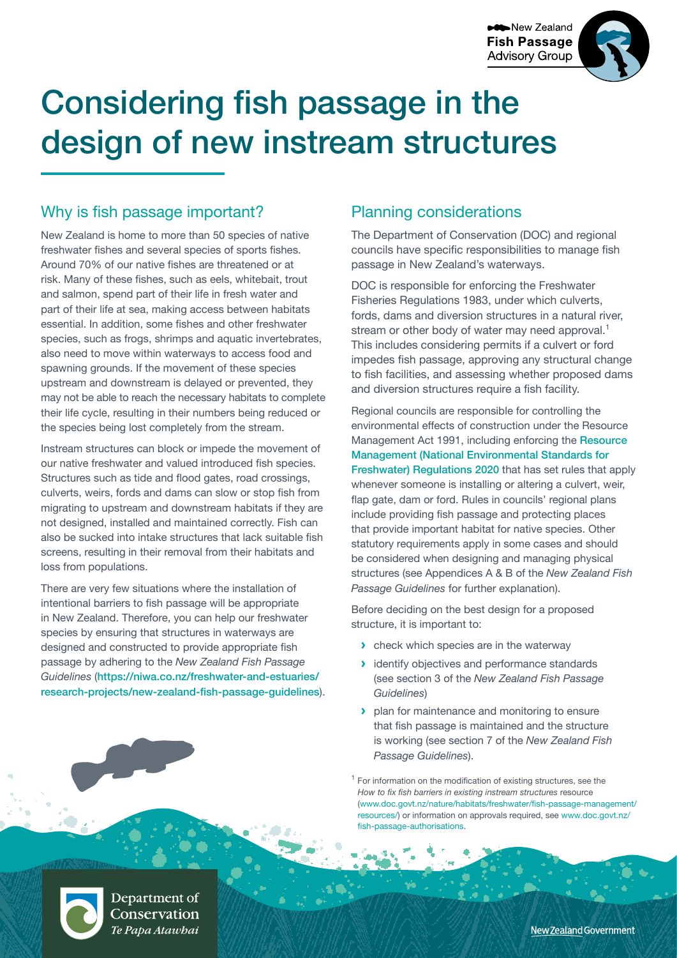**New Zealand Fish Passage Advisory Group** 



# Considering fish passage in the design of new instream structures

# Why is fish passage important?

New Zealand is home to more than 50 species of native freshwater fishes and several species of sports fishes. Around 70% of our native fishes are threatened or at risk. Many of these fishes, such as eels, whitebait, trout and salmon, spend part of their life in fresh water and part of their life at sea, making access between habitats essential. In addition, some fishes and other freshwater species, such as frogs, shrimps and aquatic invertebrates, also need to move within waterways to access food and spawning grounds. If the movement of these species upstream and downstream is delayed or prevented, they may not be able to reach the necessary habitats to complete their life cycle, resulting in their numbers being reduced or the species being lost completely from the stream.

Instream structures can block or impede the movement of our native freshwater and valued introduced fish species. Structures such as tide and flood gates, road crossings, culverts, weirs, fords and dams can slow or stop fish from migrating to upstream and downstream habitats if they are not designed, installed and maintained correctly. Fish can also be sucked into intake structures that lack suitable fish screens, resulting in their removal from their habitats and loss from populations.

There are very few situations where the installation of intentional barriers to fish passage will be appropriate in New Zealand. Therefore, you can help our freshwater species by ensuring that structures in waterways are designed and constructed to provide appropriate fish passage by adhering to the *New Zealand Fish Passage Guidelines* ([https://niwa.co.nz/freshwater-and-estuaries/](https://niwa.co.nz/freshwater-and-estuaries/research-projects/new-zealand-fish-passage-guidelines) [research-projects/new-zealand-fish-passage-guidelines](https://niwa.co.nz/freshwater-and-estuaries/research-projects/new-zealand-fish-passage-guidelines)).

## Planning considerations

The Department of Conservation (DOC) and regional councils have specific responsibilities to manage fish passage in New Zealand's waterways.

DOC is responsible for enforcing the Freshwater Fisheries Regulations 1983, under which culverts, fords, dams and diversion structures in a natural river, stream or other body of water may need approval.<sup>1</sup> This includes considering permits if a culvert or ford impedes fish passage, approving any structural change to fish facilities, and assessing whether proposed dams and diversion structures require a fish facility.

Regional councils are responsible for controlling the environmental effects of construction under the Resource Management Act 1991, including enforcing the [Resource](http://www.legislation.govt.nz/regulation/public/2020/0174/latest/LMS364099.html)  [Management \(National Environmental Standards for](http://www.legislation.govt.nz/regulation/public/2020/0174/latest/LMS364099.html)  [Freshwater\) Regulations 2020](http://www.legislation.govt.nz/regulation/public/2020/0174/latest/LMS364099.html) that has set rules that apply whenever someone is installing or altering a culvert, weir, flap gate, dam or ford. Rules in councils' regional plans include providing fish passage and protecting places that provide important habitat for native species. Other statutory requirements apply in some cases and should be considered when designing and managing physical structures (see Appendices A & B of the *New Zealand Fish Passage Guidelines* for further explanation).

Before deciding on the best design for a proposed structure, it is important to:

- **›** check which species are in the waterway
- **›** identify objectives and performance standards (see section 3 of the *New Zealand Fish Passage Guidelines*)
- **›** plan for maintenance and monitoring to ensure that fish passage is maintained and the structure is working (see section 7 of the *New Zealand Fish Passage Guidelines*).

 $1$  For information on the modification of existing structures, see the *How to fix fish barriers in existing instream structures* resource ([www.doc.govt.nz/nature/habitats/freshwater/fish-passage-management/](https://www.doc.govt.nz/nature/habitats/freshwater/fish-passage-management/resources/) [resources/\)](https://www.doc.govt.nz/nature/habitats/freshwater/fish-passage-management/resources/) or information on approvals required, see [www.doc.govt.nz/](http://www.doc.govt.nz/fish-passage-authorisations) [fish-passage-authorisations.](http://www.doc.govt.nz/fish-passage-authorisations)



Department of Conservation Te Papa Atawbai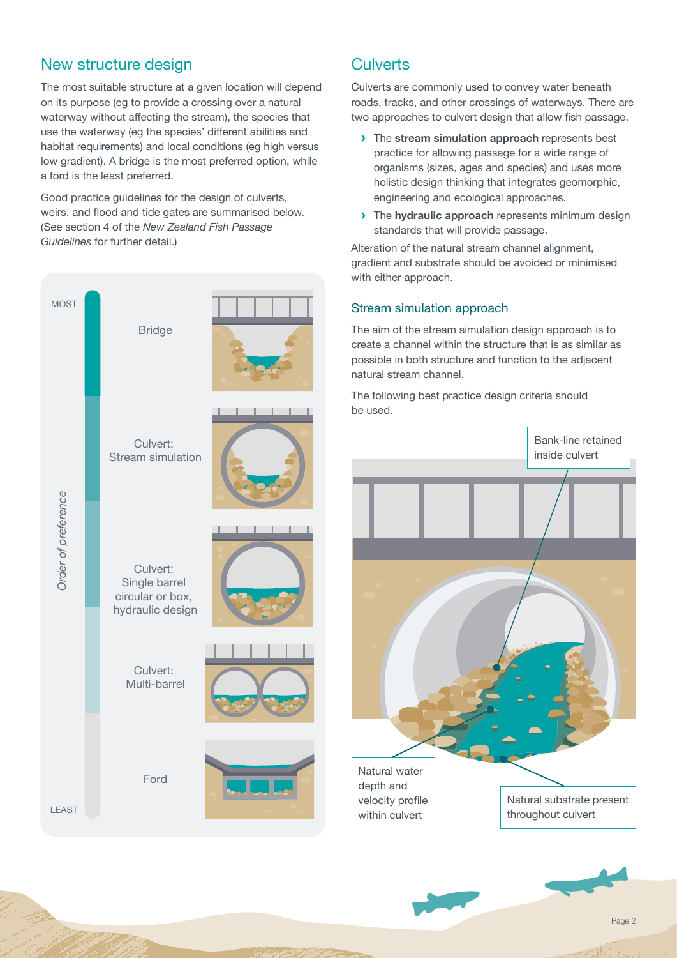## New structure design

The most suitable structure at a given location will depend on its purpose (eg to provide a crossing over a natural waterway without affecting the stream), the species that use the waterway (eg the species' different abilities and habitat requirements) and local conditions (eg high versus low gradient). A bridge is the most preferred option, while a ford is the least preferred.

Good practice guidelines for the design of culverts, weirs, and flood and tide gates are summarised below. (See section 4 of the *New Zealand Fish Passage Guidelines* for further detail.)



## **Culverts**

Culverts are commonly used to convey water beneath roads, tracks, and other crossings of waterways. There are two approaches to culvert design that allow fish passage.

- **›** The **stream simulation approach** represents best practice for allowing passage for a wide range of organisms (sizes, ages and species) and uses more holistic design thinking that integrates geomorphic, engineering and ecological approaches.
- **›** The **hydraulic approach** represents minimum design standards that will provide passage.

Alteration of the natural stream channel alignment, gradient and substrate should be avoided or minimised with either approach.

### Stream simulation approach

The aim of the stream simulation design approach is to create a channel within the structure that is as similar as possible in both structure and function to the adjacent natural stream channel.

The following best practice design criteria should



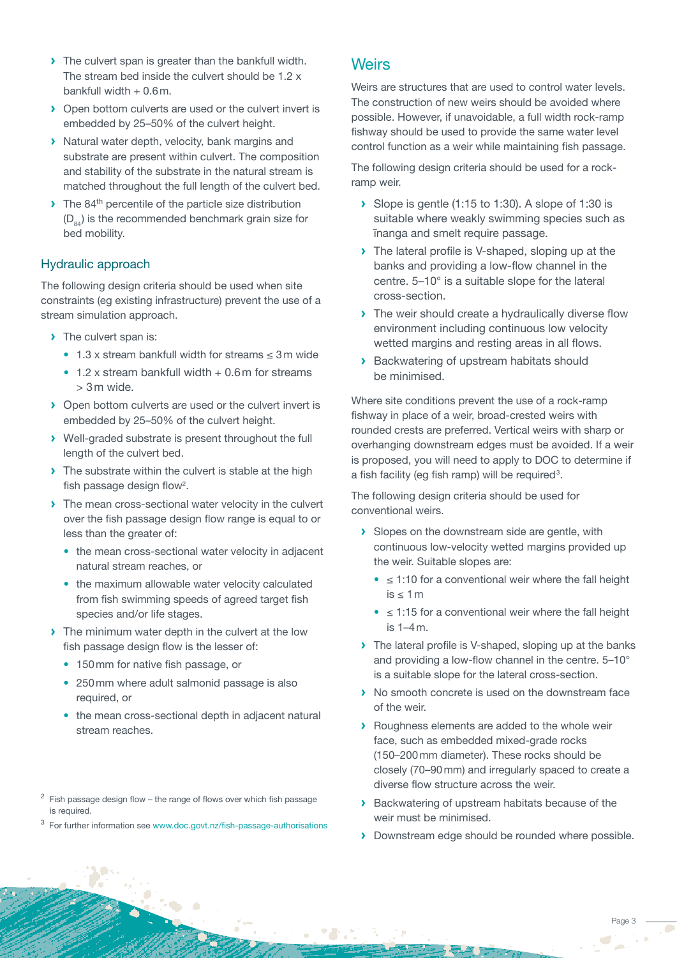- **›** The culvert span is greater than the bankfull width. The stream bed inside the culvert should be 1.2 x bankfull width  $+0.6$  m.
- **›** Open bottom culverts are used or the culvert invert is embedded by 25–50% of the culvert height.
- **›** Natural water depth, velocity, bank margins and substrate are present within culvert. The composition and stability of the substrate in the natural stream is matched throughout the full length of the culvert bed.
- $\blacktriangleright$  The 84<sup>th</sup> percentile of the particle size distribution  $(D_{04})$  is the recommended benchmark grain size for bed mobility.

#### Hydraulic approach

The following design criteria should be used when site constraints (eg existing infrastructure) prevent the use of a stream simulation approach.

- **›** The culvert span is:
	- 1.3 x stream bankfull width for streams ≤ 3m wide
	- $\cdot$  1.2 x stream bankfull width  $+$  0.6 m for streams > 3m wide.
- **›** Open bottom culverts are used or the culvert invert is embedded by 25–50% of the culvert height.
- **›** Well-graded substrate is present throughout the full length of the culvert bed.
- **›** The substrate within the culvert is stable at the high fish passage design flow<sup>2</sup>.
- **›** The mean cross-sectional water velocity in the culvert over the fish passage design flow range is equal to or less than the greater of:
	- the mean cross-sectional water velocity in adjacent natural stream reaches, or
	- the maximum allowable water velocity calculated from fish swimming speeds of agreed target fish species and/or life stages.
- **›** The minimum water depth in the culvert at the low fish passage design flow is the lesser of:
	- 150 mm for native fish passage, or
	- 250mm where adult salmonid passage is also required, or
	- the mean cross-sectional depth in adiacent natural stream reaches.

3 For further information see [www.doc.govt.nz/fish-passage-authorisations](http://www.doc.govt.nz/fish-passage-authorisations)

## **Weirs**

Weirs are structures that are used to control water levels. The construction of new weirs should be avoided where possible. However, if unavoidable, a full width rock-ramp fishway should be used to provide the same water level control function as a weir while maintaining fish passage.

The following design criteria should be used for a rockramp weir.

- **›** Slope is gentle (1:15 to 1:30). A slope of 1:30 is suitable where weakly swimming species such as īnanga and smelt require passage.
- **›** The lateral profile is V-shaped, sloping up at the banks and providing a low-flow channel in the centre. 5–10° is a suitable slope for the lateral cross-section.
- **›** The weir should create a hydraulically diverse flow environment including continuous low velocity wetted margins and resting areas in all flows.
- **›** Backwatering of upstream habitats should be minimised.

Where site conditions prevent the use of a rock-ramp fishway in place of a weir, broad-crested weirs with rounded crests are preferred. Vertical weirs with sharp or overhanging downstream edges must be avoided. If a weir is proposed, you will need to apply to DOC to determine if a fish facility (eg fish ramp) will be required<sup>3</sup>.

The following design criteria should be used for conventional weirs.

- **›** Slopes on the downstream side are gentle, with continuous low-velocity wetted margins provided up the weir. Suitable slopes are:
	- $\bullet$   $\leq$  1:10 for a conventional weir where the fall height is ≤ 1m
	- $\bullet$   $\leq$  1:15 for a conventional weir where the fall height is 1–4m.
- **›** The lateral profile is V-shaped, sloping up at the banks and providing a low-flow channel in the centre. 5–10° is a suitable slope for the lateral cross-section.
- **›** No smooth concrete is used on the downstream face of the weir.
- **›** Roughness elements are added to the whole weir face, such as embedded mixed-grade rocks (150–200mm diameter). These rocks should be closely (70–90mm) and irregularly spaced to create a diverse flow structure across the weir.
- **›** Backwatering of upstream habitats because of the weir must be minimised.
- **›** Downstream edge should be rounded where possible.

 $2$  Fish passage design flow – the range of flows over which fish passage is required.